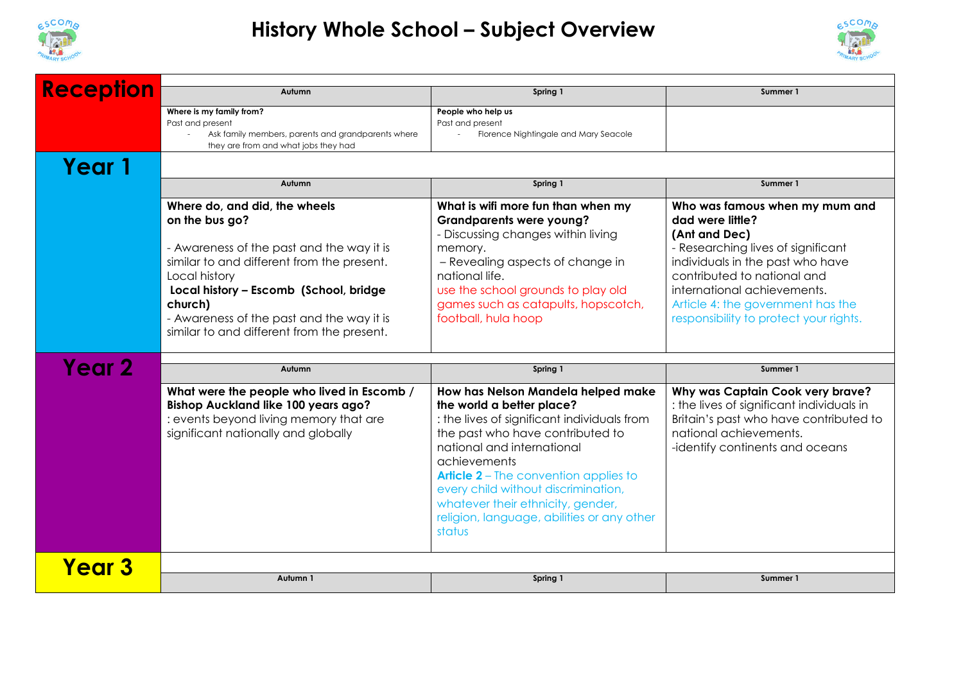

## **History Whole School – Subject Overview**



| <b>Reception</b>  | Autumn                                                                                                                                                                                                                                                   | Spring 1                                                                                                                                                                                                                                                                                                                                                                             | Summer 1                                                                                                                                                                                                            |  |
|-------------------|----------------------------------------------------------------------------------------------------------------------------------------------------------------------------------------------------------------------------------------------------------|--------------------------------------------------------------------------------------------------------------------------------------------------------------------------------------------------------------------------------------------------------------------------------------------------------------------------------------------------------------------------------------|---------------------------------------------------------------------------------------------------------------------------------------------------------------------------------------------------------------------|--|
|                   | Where is my family from?<br>Past and present                                                                                                                                                                                                             | People who help us<br>Past and present                                                                                                                                                                                                                                                                                                                                               |                                                                                                                                                                                                                     |  |
|                   | Ask family members, parents and grandparents where<br>they are from and what jobs they had                                                                                                                                                               | Florence Nightingale and Mary Seacole                                                                                                                                                                                                                                                                                                                                                |                                                                                                                                                                                                                     |  |
| Year 1            |                                                                                                                                                                                                                                                          |                                                                                                                                                                                                                                                                                                                                                                                      |                                                                                                                                                                                                                     |  |
|                   | Autumn                                                                                                                                                                                                                                                   | Spring 1                                                                                                                                                                                                                                                                                                                                                                             | Summer 1                                                                                                                                                                                                            |  |
|                   | Where do, and did, the wheels<br>on the bus go?                                                                                                                                                                                                          | What is wifi more fun than when my<br><b>Grandparents were young?</b><br>- Discussing changes within living                                                                                                                                                                                                                                                                          | Who was famous when my mum and<br>dad were little?<br>(Ant and Dec)                                                                                                                                                 |  |
|                   | - Awareness of the past and the way it is<br>similar to and different from the present.<br>Local history<br>Local history - Escomb (School, bridge<br>church)<br>- Awareness of the past and the way it is<br>similar to and different from the present. | memory.<br>- Revealing aspects of change in<br>national life.<br>use the school grounds to play old<br>games such as catapults, hopscotch,<br>football, hula hoop                                                                                                                                                                                                                    | - Researching lives of significant<br>individuals in the past who have<br>contributed to national and<br>international achievements.<br>Article 4: the government has the<br>responsibility to protect your rights. |  |
| Year 2            | Autumn                                                                                                                                                                                                                                                   | Spring 1                                                                                                                                                                                                                                                                                                                                                                             | Summer 1                                                                                                                                                                                                            |  |
|                   | What were the people who lived in Escomb /<br><b>Bishop Auckland like 100 years ago?</b><br>: events beyond living memory that are<br>significant nationally and globally                                                                                | How has Nelson Mandela helped make<br>the world a better place?<br>: the lives of significant individuals from<br>the past who have contributed to<br>national and international<br>achievements<br><b>Article 2</b> – The convention applies to<br>every child without discrimination,<br>whatever their ethnicity, gender,<br>religion, language, abilities or any other<br>status | Why was Captain Cook very brave?<br>: the lives of significant individuals in<br>Britain's past who have contributed to<br>national achievements.<br>-identify continents and oceans                                |  |
| Year <sub>3</sub> |                                                                                                                                                                                                                                                          |                                                                                                                                                                                                                                                                                                                                                                                      |                                                                                                                                                                                                                     |  |
|                   | Autumn 1                                                                                                                                                                                                                                                 | Spring 1                                                                                                                                                                                                                                                                                                                                                                             | Summer 1                                                                                                                                                                                                            |  |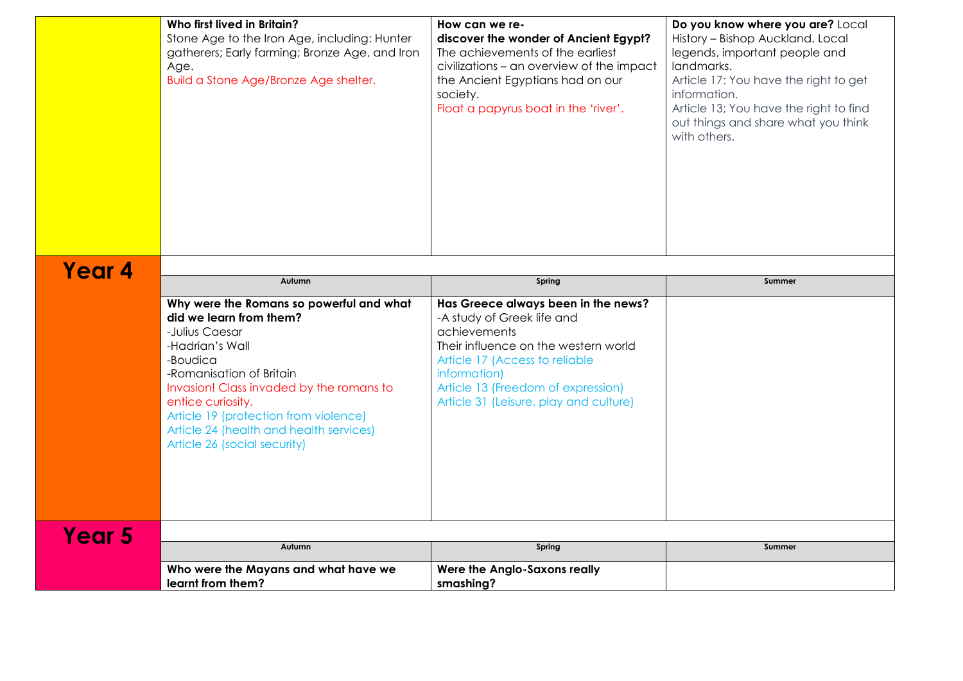|        | Who first lived in Britain?<br>Stone Age to the Iron Age, including: Hunter<br>gatherers; Early farming; Bronze Age, and Iron<br>Age.<br>Build a Stone Age/Bronze Age shelter.                                                                                                                                                        | How can we re-<br>discover the wonder of Ancient Egypt?<br>The achievements of the earliest<br>civilizations - an overview of the impact<br>the Ancient Egyptians had on our<br>society.<br>Float a papyrus boat in the 'river'.                            | Do you know where you are? Local<br>History - Bishop Auckland. Local<br>legends, important people and<br>landmarks.<br>Article 17: You have the right to get<br>information.<br>Article 13; You have the right to find<br>out things and share what you think<br>with others. |
|--------|---------------------------------------------------------------------------------------------------------------------------------------------------------------------------------------------------------------------------------------------------------------------------------------------------------------------------------------|-------------------------------------------------------------------------------------------------------------------------------------------------------------------------------------------------------------------------------------------------------------|-------------------------------------------------------------------------------------------------------------------------------------------------------------------------------------------------------------------------------------------------------------------------------|
| Year 4 |                                                                                                                                                                                                                                                                                                                                       |                                                                                                                                                                                                                                                             |                                                                                                                                                                                                                                                                               |
|        | Autumn                                                                                                                                                                                                                                                                                                                                | Spring                                                                                                                                                                                                                                                      | Summer                                                                                                                                                                                                                                                                        |
|        | Why were the Romans so powerful and what<br>did we learn from them?<br>-Julius Caesar<br>-Hadrian's Wall<br>-Boudica<br>-Romanisation of Britain<br>Invasion! Class invaded by the romans to<br>entice curiosity.<br>Article 19 (protection from violence)<br>Article 24 (health and health services)<br>Article 26 (social security) | Has Greece always been in the news?<br>-A study of Greek life and<br>achievements<br>Their influence on the western world<br>Article 17 (Access to reliable<br>information)<br>Article 13 (Freedom of expression)<br>Article 31 (Leisure, play and culture) |                                                                                                                                                                                                                                                                               |
| Year 5 | Autumn                                                                                                                                                                                                                                                                                                                                | Spring                                                                                                                                                                                                                                                      | Summer                                                                                                                                                                                                                                                                        |
|        | Who were the Mayans and what have we                                                                                                                                                                                                                                                                                                  | <b>Were the Anglo-Saxons really</b>                                                                                                                                                                                                                         |                                                                                                                                                                                                                                                                               |
|        | learnt from them?                                                                                                                                                                                                                                                                                                                     | smashing?                                                                                                                                                                                                                                                   |                                                                                                                                                                                                                                                                               |